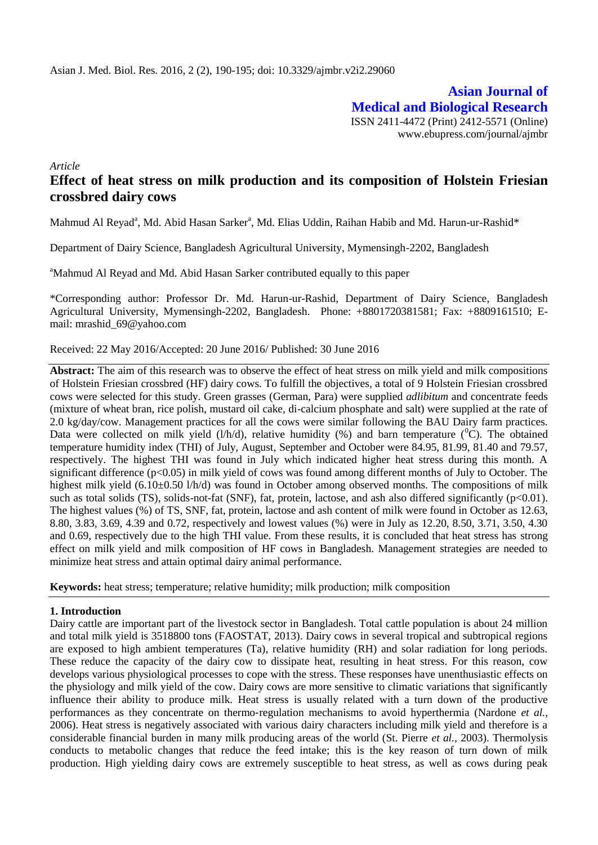**Asian Journal of Medical and Biological Research** ISSN 2411-4472 (Print) 2412-5571 (Online) www.ebupress.com/journal/ajmbr

*Article*

# **Effect of heat stress on milk production and its composition of Holstein Friesian crossbred dairy cows**

Mahmud Al Reyad<sup>a</sup>, Md. Abid Hasan Sarker<sup>a</sup>, Md. Elias Uddin, Raihan Habib and Md. Harun-ur-Rashid\*

Department of Dairy Science, Bangladesh Agricultural University, Mymensingh-2202, Bangladesh

<sup>a</sup>Mahmud Al Reyad and Md. Abid Hasan Sarker contributed equally to this paper

\*Corresponding author: Professor Dr. Md. Harun-ur-Rashid, Department of Dairy Science, Bangladesh Agricultural University, Mymensingh-2202, Bangladesh. Phone: +8801720381581; Fax: +8809161510; Email: mrashid\_69@yahoo.com

Received: 22 May 2016/Accepted: 20 June 2016/ Published: 30 June 2016

**Abstract:** The aim of this research was to observe the effect of heat stress on milk yield and milk compositions of Holstein Friesian crossbred (HF) dairy cows. To fulfill the objectives, a total of 9 Holstein Friesian crossbred cows were selected for this study. Green grasses (German, Para) were supplied *adlibitum* and concentrate feeds (mixture of wheat bran, rice polish, mustard oil cake, di-calcium phosphate and salt) were supplied at the rate of 2.0 kg/day/cow. Management practices for all the cows were similar following the BAU Dairy farm practices. Data were collected on milk yield  $(l/h/d)$ , relative humidity (%) and barn temperature ( $^0C$ ). The obtained temperature humidity index (THI) of July, August, September and October were 84.95, 81.99, 81.40 and 79.57, respectively. The highest THI was found in July which indicated higher heat stress during this month. A significant difference (p<0.05) in milk yield of cows was found among different months of July to October. The highest milk yield (6.10±0.50 l/h/d) was found in October among observed months. The compositions of milk such as total solids (TS), solids-not-fat (SNF), fat, protein, lactose, and ash also differed significantly  $(p<0.01)$ . The highest values (%) of TS, SNF, fat, protein, lactose and ash content of milk were found in October as 12.63, 8.80, 3.83, 3.69, 4.39 and 0.72, respectively and lowest values (%) were in July as 12.20, 8.50, 3.71, 3.50, 4.30 and 0.69, respectively due to the high THI value. From these results, it is concluded that heat stress has strong effect on milk yield and milk composition of HF cows in Bangladesh. Management strategies are needed to minimize heat stress and attain optimal dairy animal performance.

**Keywords:** heat stress; temperature; relative humidity; milk production; milk composition

### **1. Introduction**

Dairy cattle are important part of the livestock sector in Bangladesh. Total cattle population is about 24 million and total milk yield is 3518800 tons (FAOSTAT, 2013). Dairy cows in several tropical and subtropical regions are exposed to high ambient temperatures (Ta), relative humidity (RH) and solar radiation for long periods. These reduce the capacity of the dairy cow to dissipate heat, resulting in heat stress. For this reason, cow develops various physiological processes to cope with the stress. These responses have unenthusiastic effects on the physiology and milk yield of the cow. Dairy cows are more sensitive to climatic variations that significantly influence their ability to produce milk. Heat stress is usually related with a turn down of the productive performances as they concentrate on thermo-regulation mechanisms to avoid hyperthermia (Nardone *et al.*, 2006). Heat stress is negatively associated with various dairy characters including milk yield and therefore is a considerable financial burden in many milk producing areas of the world (St. Pierre *et al.,* 2003). Thermolysis conducts to metabolic changes that reduce the feed intake; this is the key reason of turn down of milk production. High yielding dairy cows are extremely susceptible to heat stress, as well as cows during peak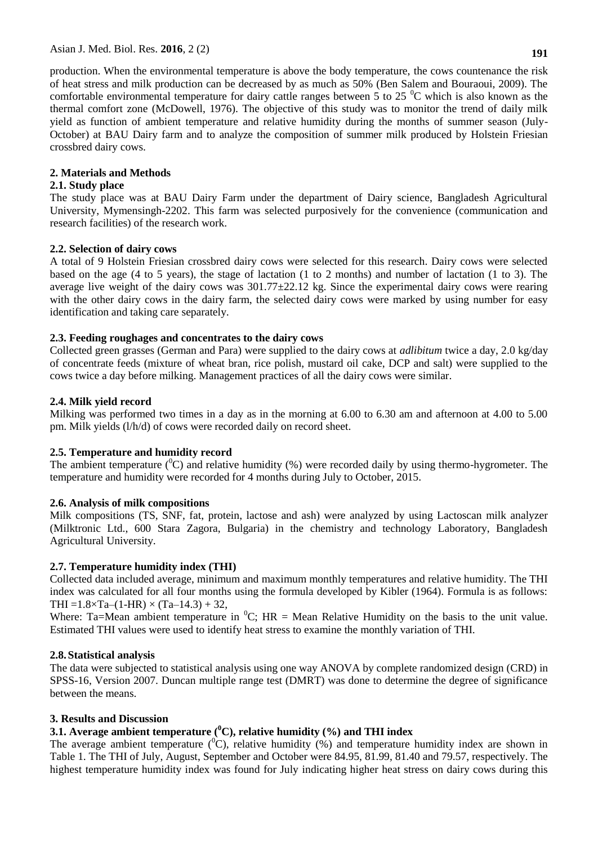production. When the environmental temperature is above the body temperature, the cows countenance the risk of heat stress and milk production can be decreased by as much as 50% (Ben Salem and Bouraoui, 2009). The comfortable environmental temperature for dairy cattle ranges between 5 to 25  $\mathrm{^0C}$  which is also known as the thermal comfort zone (McDowell, 1976). The objective of this study was to monitor the trend of daily milk yield as function of ambient temperature and relative humidity during the months of summer season (July-October) at BAU Dairy farm and to analyze the composition of summer milk produced by Holstein Friesian crossbred dairy cows.

## **2. Materials and Methods**

## **2.1. Study place**

The study place was at BAU Dairy Farm under the department of Dairy science, Bangladesh Agricultural University, Mymensingh-2202. This farm was selected purposively for the convenience (communication and research facilities) of the research work.

## **2.2. Selection of dairy cows**

A total of 9 Holstein Friesian crossbred dairy cows were selected for this research. Dairy cows were selected based on the age (4 to 5 years), the stage of lactation (1 to 2 months) and number of lactation (1 to 3). The average live weight of the dairy cows was  $301.77\pm22.12$  kg. Since the experimental dairy cows were rearing with the other dairy cows in the dairy farm, the selected dairy cows were marked by using number for easy identification and taking care separately.

## **2.3. Feeding roughages and concentrates to the dairy cows**

Collected green grasses (German and Para) were supplied to the dairy cows at *adlibitum* twice a day, 2.0 kg/day of concentrate feeds (mixture of wheat bran, rice polish, mustard oil cake, DCP and salt) were supplied to the cows twice a day before milking. Management practices of all the dairy cows were similar.

# **2.4. Milk yield record**

Milking was performed two times in a day as in the morning at 6.00 to 6.30 am and afternoon at 4.00 to 5.00 pm. Milk yields (l/h/d) of cows were recorded daily on record sheet.

# **2.5. Temperature and humidity record**

The ambient temperature  $({}^{0}C)$  and relative humidity (%) were recorded daily by using thermo-hygrometer. The temperature and humidity were recorded for 4 months during July to October, 2015.

# **2.6. Analysis of milk compositions**

Milk compositions (TS, SNF, fat, protein, lactose and ash) were analyzed by using Lactoscan milk analyzer (Milktronic Ltd., 600 Stara Zagora, Bulgaria) in the chemistry and technology Laboratory, Bangladesh Agricultural University.

# **2.7. Temperature humidity index (THI)**

Collected data included average, minimum and maximum monthly temperatures and relative humidity. The THI index was calculated for all four months using the formula developed by Kibler (1964). Formula is as follows: THI =  $1.8 \times Ta - (1-HR) \times (Ta-14.3) + 32$ ,

Where: Ta=Mean ambient temperature in  ${}^{0}C$ ; HR = Mean Relative Humidity on the basis to the unit value. Estimated THI values were used to identify heat stress to examine the monthly variation of THI.

### **2.8.Statistical analysis**

The data were subjected to statistical analysis using one way ANOVA by complete randomized design (CRD) in SPSS-16, Version 2007. Duncan multiple range test (DMRT) was done to determine the degree of significance between the means.

### **3. Results and Discussion**

# **3.1. Average ambient temperature (<sup>0</sup>C), relative humidity (%) and THI index**

The average ambient temperature  $({}^{0}C)$ , relative humidity  $(\%)$  and temperature humidity index are shown in Table 1. The THI of July, August, September and October were 84.95, 81.99, 81.40 and 79.57, respectively. The highest temperature humidity index was found for July indicating higher heat stress on dairy cows during this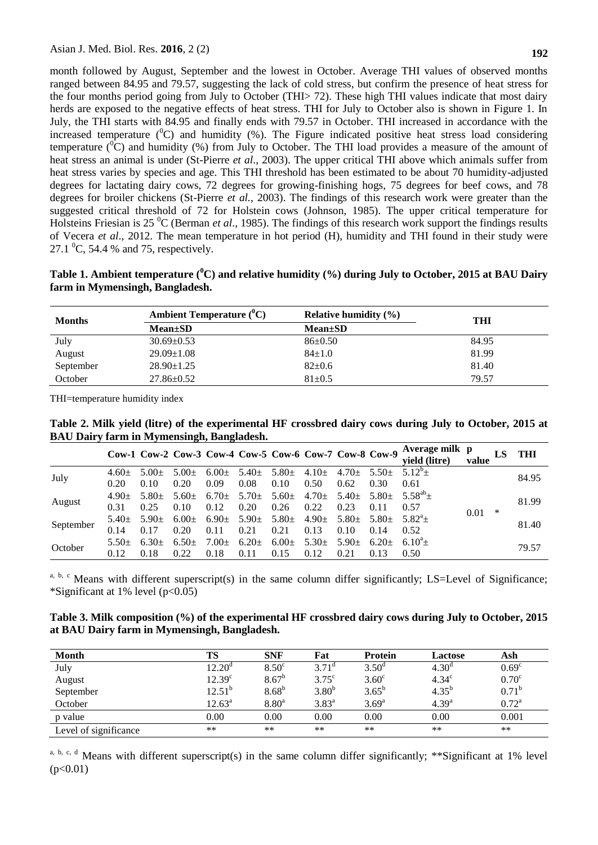month followed by August, September and the lowest in October. Average THI values of observed months ranged between 84.95 and 79.57, suggesting the lack of cold stress, but confirm the presence of heat stress for the four months period going from July to October (THI> 72). These high THI values indicate that most dairy herds are exposed to the negative effects of heat stress. THI for July to October also is shown in Figure 1. In July, the THI starts with 84.95 and finally ends with 79.57 in October. THI increased in accordance with the increased temperature  $({}^{0}C)$  and humidity  $({}^{9}o)$ . The Figure indicated positive heat stress load considering temperature  $({}^{0}C)$  and humidity (%) from July to October. The THI load provides a measure of the amount of heat stress an animal is under (St-Pierre *et al*., 2003). The upper critical THI above which animals suffer from heat stress varies by species and age. This THI threshold has been estimated to be about 70 humidity-adjusted degrees for lactating dairy cows, 72 degrees for growing-finishing hogs, 75 degrees for beef cows, and 78 degrees for broiler chickens (St-Pierre *et al.,* 2003). The findings of this research work were greater than the suggested critical threshold of 72 for Holstein cows (Johnson, 1985). The upper critical temperature for Holsteins Friesian is 25 <sup>o</sup>C (Berman *et al.*, 1985). The findings of this research work support the findings results of Vecera *et al*., 2012. The mean temperature in hot period (H), humidity and THI found in their study were 27.1  $^{\circ}$ C, 54.4 % and 75, respectively.

**Table 1. Ambient temperature (<sup>0</sup>C) and relative humidity (%) during July to October, 2015 at BAU Dairy farm in Mymensingh, Bangladesh.**

| <b>Months</b> | <b>Ambient Temperature</b> $(^0C)$ | Relative humidity $(\% )$ | <b>THI</b> |  |
|---------------|------------------------------------|---------------------------|------------|--|
|               | $Mean \pm SD$                      | $Mean \pm SD$             |            |  |
| July          | $30.69 \pm 0.53$                   | $86 \pm 0.50$             | 84.95      |  |
| August        | $29.09 \pm 1.08$                   | $84 \pm 1.0$              | 81.99      |  |
| September     | $28.90 \pm 1.25$                   | $82{\pm}0.6$              | 81.40      |  |
| October       | $27.86 \pm 0.52$                   | $81 \pm 0.5$              | 79.57      |  |

THI=temperature humidity index

**Table 2. Milk yield (litre) of the experimental HF crossbred dairy cows during July to October, 2015 at BAU Dairy farm in Mymensingh, Bangladesh.**

|           |         | Cow-1 Cow-2 Cow-3 Cow-4 Cow-5 Cow-6 Cow-7 Cow-8 Cow-9 |         |                       |         |            |            |                         |         | Average milk p<br>vield (litre) | value     |  | THI   |
|-----------|---------|-------------------------------------------------------|---------|-----------------------|---------|------------|------------|-------------------------|---------|---------------------------------|-----------|--|-------|
| July      | $4.60+$ | $5.00+$                                               | $5.00+$ | 6.00 $\pm$ 5.40 $\pm$ |         | $5.80 \pm$ | $4.10 \pm$ | $4.70 \pm$              | $5.50+$ | $5.12^{\circ}+$                 | ∗<br>0.01 |  | 84.95 |
|           | 0.20    | 0.10                                                  | 0.20    | 0.09                  | 0.08    | 0.10       | 0.50       | 0.62                    | 0.30    | 0.61                            |           |  |       |
| August    | $4.90+$ | $5.80+$                                               | $5.60+$ | $6.70 + 5.70 +$       |         | $5.60+$    | $4.70 \pm$ | $5.40 \pm 5.80 \pm 5.6$ |         | $5.58^{ab}+$                    |           |  | 81.99 |
|           | 0.31    | 0.25                                                  | 0.10    | 0.12                  | 0.20    | 0.26       | 0.22       | 0.23                    | 0.11    | 0.57                            |           |  |       |
| September | $5.40+$ | $5.90\pm$ 6.00 $\pm$ 6.90 $\pm$ 5.90 $\pm$            |         |                       |         | $5.80 \pm$ | 4.90 $\pm$ | $5.80 \pm 5.80 \pm 5.5$ |         | $5.82^{a}+$                     |           |  | 81.40 |
|           | 0.14    | 0.17                                                  | 0.20    | 0.11                  | 0.21    | 0.21       | 0.13       | 0.10                    | 0.14    | 0.52                            |           |  |       |
| October   | $5.50+$ | $6.30+$                                               | $6.50+$ | $7.00+$               | $6.20+$ | $6.00\pm$  | 5.30 $\pm$ | 5.90 $\pm$              | $6.20+$ | $6.10^{a}+$                     |           |  | 79.57 |
|           | 0.12    | 0.18                                                  | 0.22    | 0.18                  | 0.11    | 0.15       | 0.12       | 0.21                    | 0.13    | 0.50                            |           |  |       |

<sup>a, b, c</sup> Means with different superscript(s) in the same column differ significantly; LS=Level of Significance; \*Significant at 1% level  $(p<0.05)$ 

| Table 3. Milk composition (%) of the experimental HF crossbred dairy cows during July to October, 2015 |  |
|--------------------------------------------------------------------------------------------------------|--|
| at BAU Dairy farm in Mymensingh, Bangladesh.                                                           |  |

| <b>Month</b>          | TS                 | <b>SNF</b>        | Fat               | <b>Protein</b> | Lactose           | Ash               |
|-----------------------|--------------------|-------------------|-------------------|----------------|-------------------|-------------------|
| July                  | 12.20 <sup>d</sup> | $8.50^{\circ}$    | $3.71^{\circ}$    | $3.50^{\rm d}$ | 4.30 <sup>d</sup> | 0.69 <sup>c</sup> |
| August                | 12.39 <sup>c</sup> | $8.67^{\rm b}$    | $3.75^{\circ}$    | $3.60^{\circ}$ | 4.34 <sup>c</sup> | $0.70^{\circ}$    |
| September             | $12.51^b$          | $8.68^{b}$        | 3.80 <sup>b</sup> | $3.65^{\rm b}$ | $4.35^{b}$        | $0.71^{\rm b}$    |
| October               | $12.63^{\circ}$    | 8.80 <sup>a</sup> | 3.83 <sup>a</sup> | $3.69^{\rm a}$ | $4.39^{a}$        | $0.72^{\rm a}$    |
| p value               | 0.00               | 0.00              | 0.00              | 0.00           | 0.00              | 0.001             |
| Level of significance | **                 | $**$              | $***$             | $**$           | **                | **                |

a, b, c, d Means with different superscript(s) in the same column differ significantly; \*\*Significant at 1% level  $(p<0.01)$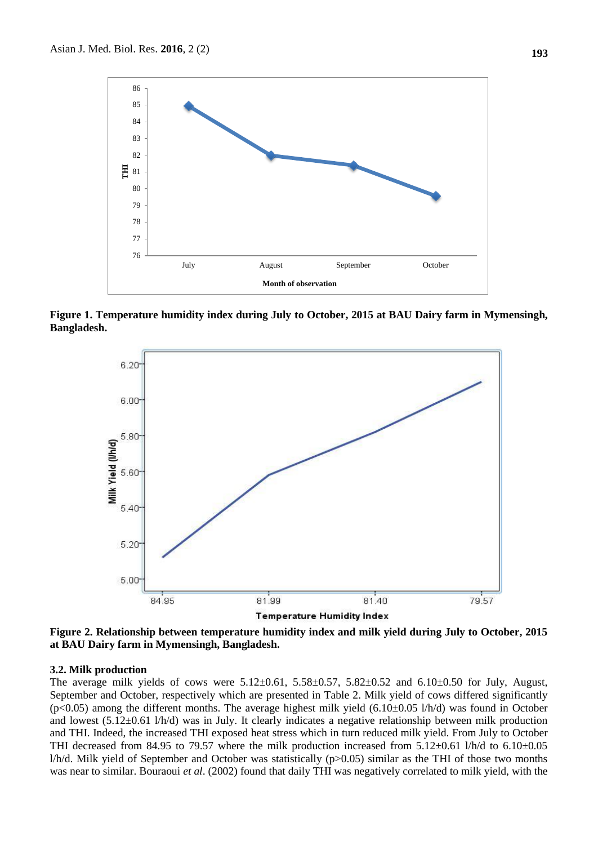

**Figure 1. Temperature humidity index during July to October, 2015 at BAU Dairy farm in Mymensingh, Bangladesh.**



**Figure 2. Relationship between temperature humidity index and milk yield during July to October, 2015 at BAU Dairy farm in Mymensingh, Bangladesh.**

#### **3.2. Milk production**

The average milk yields of cows were  $5.12 \pm 0.61$ ,  $5.58 \pm 0.57$ ,  $5.82 \pm 0.52$  and  $6.10 \pm 0.50$  for July, August, September and October, respectively which are presented in Table 2. Milk yield of cows differed significantly ( $p$ <0.05) among the different months. The average highest milk yield (6.10±0.05 l/h/d) was found in October and lowest (5.12±0.61 l/h/d) was in July. It clearly indicates a negative relationship between milk production and THI. Indeed, the increased THI exposed heat stress which in turn reduced milk yield. From July to October THI decreased from 84.95 to 79.57 where the milk production increased from 5.12±0.61 l/h/d to 6.10±0.05 l/h/d. Milk yield of September and October was statistically (p>0.05) similar as the THI of those two months was near to similar. Bouraoui *et al*. (2002) found that daily THI was negatively correlated to milk yield, with the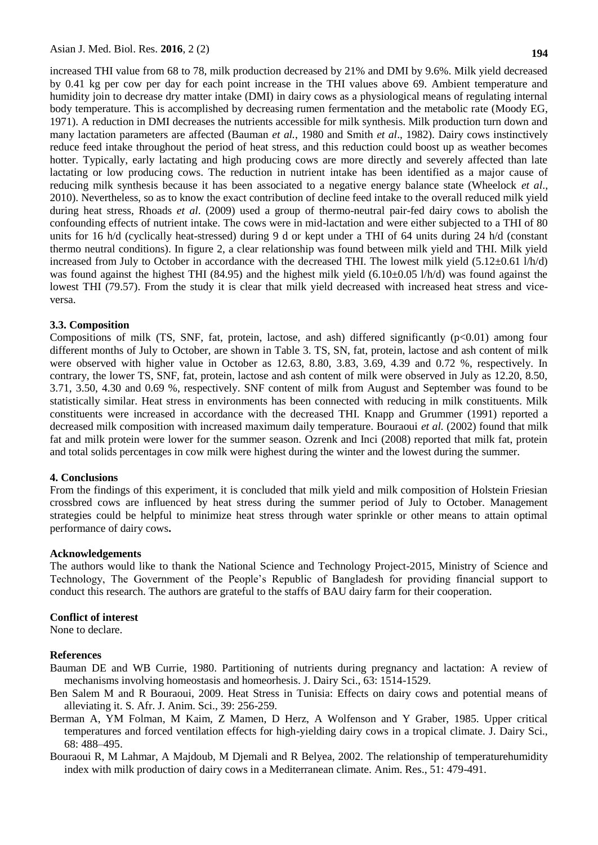increased THI value from 68 to 78, milk production decreased by 21% and DMI by 9.6%. Milk yield decreased by 0.41 kg per cow per day for each point increase in the THI values above 69. Ambient temperature and humidity join to decrease dry matter intake (DMI) in dairy cows as a physiological means of regulating internal body temperature. This is accomplished by decreasing rumen fermentation and the metabolic rate (Moody EG, 1971). A reduction in DMI decreases the nutrients accessible for milk synthesis. Milk production turn down and many lactation parameters are affected (Bauman *et al.*, 1980 and Smith *et al*., 1982). Dairy cows instinctively reduce feed intake throughout the period of heat stress, and this reduction could boost up as weather becomes hotter. Typically, early lactating and high producing cows are more directly and severely affected than late lactating or low producing cows. The reduction in nutrient intake has been identified as a major cause of reducing milk synthesis because it has been associated to a negative energy balance state (Wheelock *et al*., 2010). Nevertheless, so as to know the exact contribution of decline feed intake to the overall reduced milk yield during heat stress, Rhoads *et al*. (2009) used a group of thermo-neutral pair-fed dairy cows to abolish the confounding effects of nutrient intake. The cows were in mid-lactation and were either subjected to a THI of 80 units for 16 h/d (cyclically heat-stressed) during 9 d or kept under a THI of 64 units during 24 h/d (constant thermo neutral conditions). In figure 2, a clear relationship was found between milk yield and THI. Milk yield increased from July to October in accordance with the decreased THI. The lowest milk yield (5.12±0.61 l/h/d) was found against the highest THI (84.95) and the highest milk yield (6.10±0.05 l/h/d) was found against the lowest THI (79.57). From the study it is clear that milk yield decreased with increased heat stress and viceversa.

#### **3.3. Composition**

Compositions of milk (TS, SNF, fat, protein, lactose, and ash) differed significantly (p<0.01) among four different months of July to October, are shown in Table 3. TS, SN, fat, protein, lactose and ash content of milk were observed with higher value in October as 12.63, 8.80, 3.83, 3.69, 4.39 and 0.72 %, respectively. In contrary, the lower TS, SNF, fat, protein, lactose and ash content of milk were observed in July as 12.20, 8.50, 3.71, 3.50, 4.30 and 0.69 %, respectively. SNF content of milk from August and September was found to be statistically similar. Heat stress in environments has been connected with reducing in milk constituents. Milk constituents were increased in accordance with the decreased THI. Knapp and Grummer (1991) reported a decreased milk composition with increased maximum daily temperature. Bouraoui *et al.* (2002) found that milk fat and milk protein were lower for the summer season. Ozrenk and Inci (2008) reported that milk fat, protein and total solids percentages in cow milk were highest during the winter and the lowest during the summer.

#### **4. Conclusions**

From the findings of this experiment, it is concluded that milk yield and milk composition of Holstein Friesian crossbred cows are influenced by heat stress during the summer period of July to October. Management strategies could be helpful to minimize heat stress through water sprinkle or other means to attain optimal performance of dairy cows**.**

#### **Acknowledgements**

The authors would like to thank the National Science and Technology Project-2015, Ministry of Science and Technology, The Government of the People's Republic of Bangladesh for providing financial support to conduct this research. The authors are grateful to the staffs of BAU dairy farm for their cooperation.

#### **Conflict of interest**

None to declare.

#### **References**

- Bauman DE and WB Currie, 1980. Partitioning of nutrients during pregnancy and lactation: A review of mechanisms involving homeostasis and homeorhesis. J. Dairy Sci., 63: 1514-1529.
- Ben Salem M and R Bouraoui, 2009. Heat Stress in Tunisia: Effects on dairy cows and potential means of alleviating it. S. Afr. J. Anim. Sci., 39: 256-259.
- Berman A, YM Folman, M Kaim, Z Mamen, D Herz, A Wolfenson and Y Graber, 1985. Upper critical temperatures and forced ventilation effects for high-yielding dairy cows in a tropical climate. J. Dairy Sci., 68: 488–495.
- Bouraoui R, M Lahmar, A Majdoub, M Djemali and R Belyea, 2002. The relationship of temperaturehumidity index with milk production of dairy cows in a Mediterranean climate. Anim. Res., 51: 479-491.